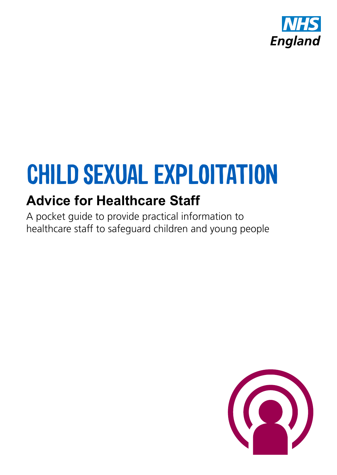

# **CHILD SEXUAL EXPLOITATION**

### **Advice for Healthcare Staff**

A pocket guide to provide practical information to healthcare staff to safeguard children and young people

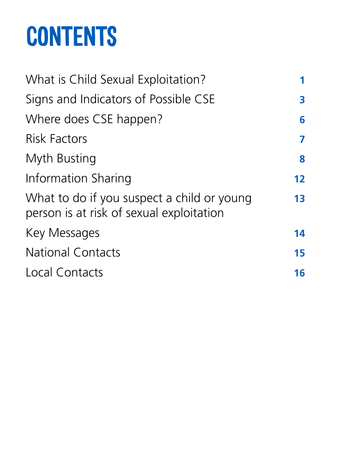# **CONTENTS**

| What is Child Sexual Exploitation?                                                     | 1                 |
|----------------------------------------------------------------------------------------|-------------------|
| Signs and Indicators of Possible CSE                                                   | 3                 |
| Where does CSE happen?                                                                 | 6                 |
| <b>Risk Factors</b>                                                                    | 7                 |
| Myth Busting                                                                           | 8                 |
| Information Sharing                                                                    | $12 \overline{ }$ |
| What to do if you suspect a child or young<br>person is at risk of sexual exploitation | 13                |
| Key Messages                                                                           | 14                |
| <b>National Contacts</b>                                                               | 15                |
| Local Contacts                                                                         | 16                |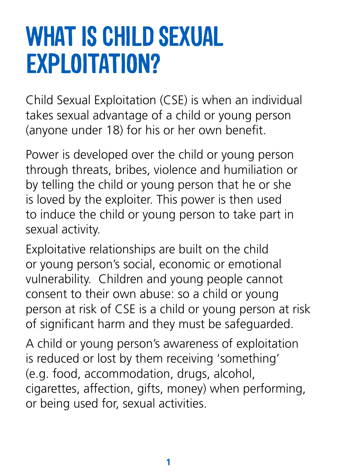### **WHAT IS CHILD SEXUAL EXPLOITATION?**

Child Sexual Exploitation (CSE) is when an individual takes sexual advantage of a child or young person (anyone under 18) for his or her own benefit.

Power is developed over the child or young person through threats, bribes, violence and humiliation or by telling the child or young person that he or she is loved by the exploiter. This power is then used to induce the child or young person to take part in sexual activity.

Exploitative relationships are built on the child or young person's social, economic or emotional vulnerability. Children and young people cannot consent to their own abuse: so a child or young person at risk of CSE is a child or young person at risk of significant harm and they must be safeguarded.

A child or young person's awareness of exploitation is reduced or lost by them receiving 'something' (e.g. food, accommodation, drugs, alcohol, cigarettes, affection, gifts, money) when performing, or being used for, sexual activities.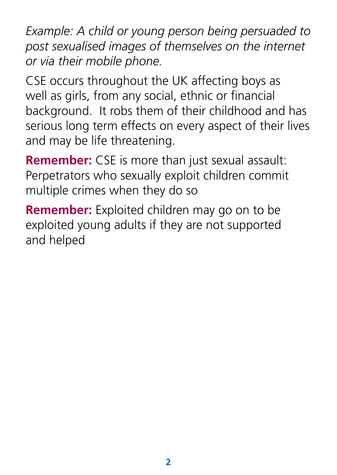*Example: A child or young person being persuaded to post sexualised images of themselves on the internet or via their mobile phone.*

CSE occurs throughout the UK affecting boys as well as girls, from any social, ethnic or financial background. It robs them of their childhood and has serious long term effects on every aspect of their lives and may be life threatening.

**Remember:** CSE is more than just sexual assault: Perpetrators who sexually exploit children commit multiple crimes when they do so

**Remember:** Exploited children may go on to be exploited young adults if they are not supported and helped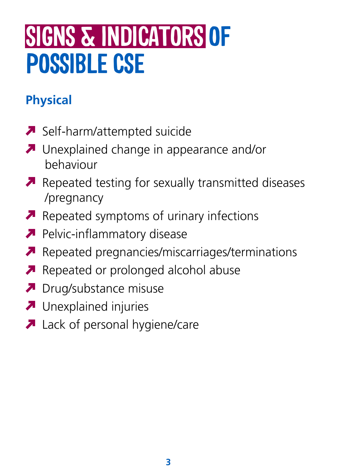## **SIGNS & INDICATORS OF POSSIBLE CSE**

### **Physical**

- Self-harm/attempted suicide
- **A** Unexplained change in appearance and/or behaviour
- Repeated testing for sexually transmitted diseases /pregnancy
- Repeated symptoms of urinary infections
- **Pelvic-inflammatory disease**
- Repeated pregnancies/miscarriages/terminations
- Repeated or prolonged alcohol abuse
- **D** Drug/substance misuse
- **A** Unexplained injuries
- **A** Lack of personal hygiene/care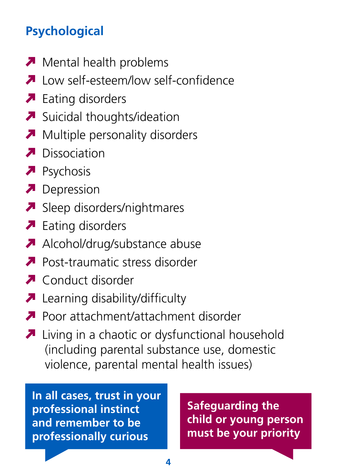#### **Psychological**

- $\blacksquare$  Mental health problems
- **A** Low self-esteem/low self-confidence
- $\blacksquare$  Eating disorders
- $\blacktriangleright$  Suicidal thoughts/ideation
- Multiple personality disorders
- **A** Dissociation
- **P**sychosis
- Depression
- Sleep disorders/nightmares
- $\blacktriangleright$  Eating disorders
- Alcohol/drug/substance abuse
- **Post-traumatic stress disorder**
- **A** Conduct disorder
- **A** Learning disability/difficulty
- **Poor attachment/attachment disorder**
- Living in a chaotic or dysfunctional household (including parental substance use, domestic violence, parental mental health issues)

**In all cases, trust in your professional instinct and remember to be professionally curious**

**Safeguarding the child or young person must be your priority**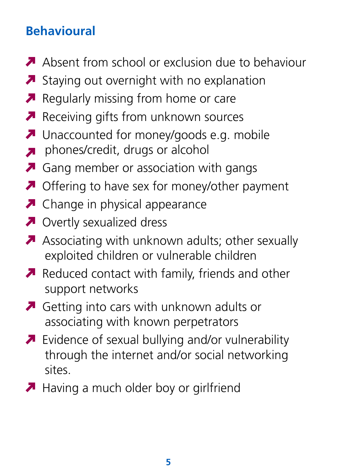#### **Behavioural**

- A Absent from school or exclusion due to behaviour
- Staying out overnight with no explanation
- **P** Regularly missing from home or care
- $\blacktriangleright$  Receiving gifts from unknown sources
- **A** Unaccounted for money/goods e.g. mobile
- phones/credit, drugs or alcohol
- **A** Gang member or association with gangs
- **A** Offering to have sex for money/other payment
- **A** Change in physical appearance
- **A** Overtly sexualized dress
- Associating with unknown adults; other sexually exploited children or vulnerable children
- Reduced contact with family, friends and other support networks
- Getting into cars with unknown adults or associating with known perpetrators
- **A** Evidence of sexual bullying and/or vulnerability through the internet and/or social networking sites.
- Having a much older boy or girlfriend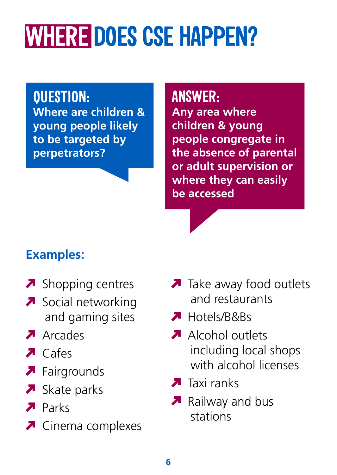# **WHERE DOES CSE HAPPEN?**

**QUESTION: Where are children & young people likely to be targeted by perpetrators?**

**ANSWER:**

**Any area where children & young people congregate in the absence of parental or adult supervision or where they can easily be accessed**

### **Examples:**

- $\blacksquare$  Shopping centres
- Social networking and gaming sites
- Arcades
- $\blacksquare$  Cafes
- **A** Fairgrounds
- $\blacktriangleright$  Skate parks
- **A** Parks
- **▼** Cinema complexes
- $\blacksquare$  Take away food outlets and restaurants
- **A** Hotels/B&Bs
- Alcohol outlets including local shops with alcohol licenses
- $\blacksquare$  Taxi ranks
- **A** Railway and bus stations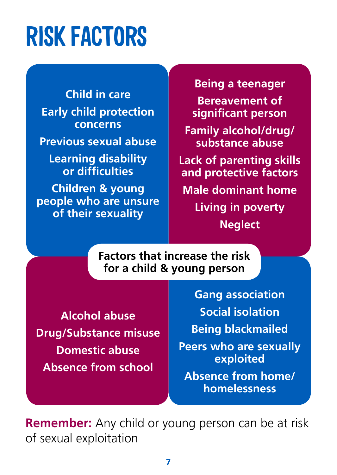## **RISK FACTORS**

**Child in care Early child protection concerns Previous sexual abuse Learning disability or difficulties Children & young people who are unsure of their sexuality**

**Being a teenager Bereavement of significant person Family alcohol/drug/ substance abuse**

**Lack of parenting skills and protective factors**

**Male dominant home Living in poverty Neglect**

**Factors that increase the risk for a child & young person**

**Alcohol abuse Drug/Substance misuse Domestic abuse Absence from school**

**Gang association Social isolation Being blackmailed Peers who are sexually exploited Absence from home/ homelessness**

**Remember:** Any child or young person can be at risk of sexual exploitation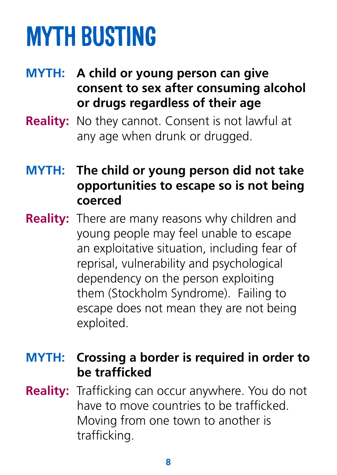# **MYTH BUSTING**

- **MYTH: A child or young person can give consent to sex after consuming alcohol or drugs regardless of their age**
- **Reality:** No they cannot. Consent is not lawful at any age when drunk or drugged.
- **MYTH: The child or young person did not take opportunities to escape so is not being coerced**
- **Reality:** There are many reasons why children and young people may feel unable to escape an exploitative situation, including fear of reprisal, vulnerability and psychological dependency on the person exploiting them (Stockholm Syndrome). Failing to escape does not mean they are not being exploited.

#### **MYTH: Crossing a border is required in order to be trafficked**

**Reality:** Trafficking can occur anywhere. You do not have to move countries to be trafficked. Moving from one town to another is trafficking.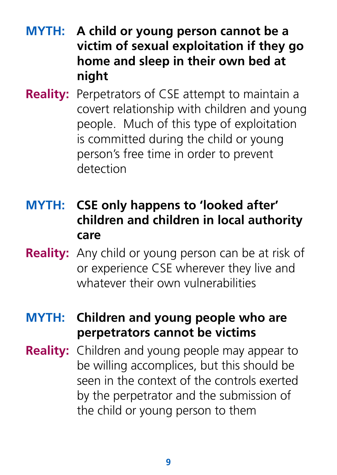- **MYTH: A child or young person cannot be a victim of sexual exploitation if they go home and sleep in their own bed at night**
- **Reality:** Perpetrators of CSE attempt to maintain a covert relationship with children and young people. Much of this type of exploitation is committed during the child or young person's free time in order to prevent detection
- **MYTH: CSE only happens to 'looked after' children and children in local authority care**
- **Reality:** Any child or young person can be at risk of or experience CSE wherever they live and whatever their own vulnerabilities
- **MYTH: Children and young people who are perpetrators cannot be victims**
- **Reality:** Children and young people may appear to be willing accomplices, but this should be seen in the context of the controls exerted by the perpetrator and the submission of the child or young person to them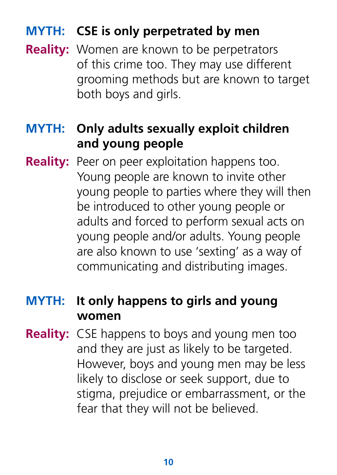#### **MYTH: CSE is only perpetrated by men**

**Reality:** Women are known to be perpetrators of this crime too. They may use different grooming methods but are known to target both boys and girls.

#### **MYTH: Only adults sexually exploit children and young people**

**Reality:** Peer on peer exploitation happens too. Young people are known to invite other young people to parties where they will then be introduced to other young people or adults and forced to perform sexual acts on young people and/or adults. Young people are also known to use 'sexting' as a way of communicating and distributing images.

#### **MYTH: It only happens to girls and young women**

**Reality:** CSE happens to boys and young men too and they are just as likely to be targeted. However, boys and young men may be less likely to disclose or seek support, due to stigma, prejudice or embarrassment, or the fear that they will not be believed.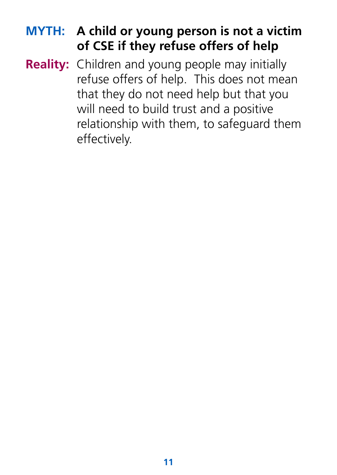#### **MYTH: A child or young person is not a victim of CSE if they refuse offers of help**

**Reality:** Children and young people may initially refuse offers of help. This does not mean that they do not need help but that you will need to build trust and a positive relationship with them, to safeguard them effectively.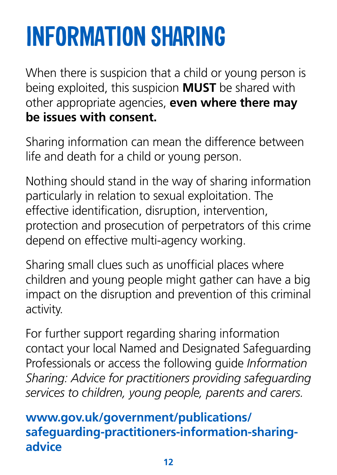# **INFORMATION SHARING**

When there is suspicion that a child or young person is being exploited, this suspicion **MUST** be shared with other appropriate agencies, **even where there may be issues with consent.**

Sharing information can mean the difference between life and death for a child or young person.

Nothing should stand in the way of sharing information particularly in relation to sexual exploitation. The effective identification, disruption, intervention, protection and prosecution of perpetrators of this crime depend on effective multi-agency working.

Sharing small clues such as unofficial places where children and young people might gather can have a big impact on the disruption and prevention of this criminal activity.

For further support regarding sharing information contact your local Named and Designated Safeguarding Professionals or access the following guide *Information Sharing: Advice for practitioners providing safeguarding services to children, young people, parents and carers.*

#### **www.gov.uk/government/publications/ safeguarding-practitioners-information-sharingadvice**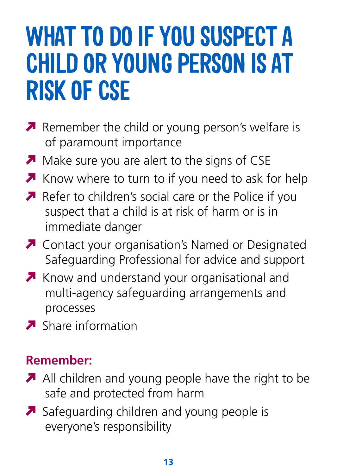## **WHAT TO DO IF YOU SUSPECT A CHILD OR YOUNG PERSON IS AT RISK OF CSE**

- **P** Remember the child or young person's welfare is of paramount importance
- Make sure you are alert to the signs of CSE
- Know where to turn to if you need to ask for help
- Refer to children's social care or the Police if you suspect that a child is at risk of harm or is in immediate danger
- **A** Contact your organisation's Named or Designated Safeguarding Professional for advice and support
- **A** Know and understand your organisational and multi-agency safeguarding arrangements and processes
- $\blacksquare$  Share information

#### **Remember:**

- All children and young people have the right to be safe and protected from harm
- Safeguarding children and young people is everyone's responsibility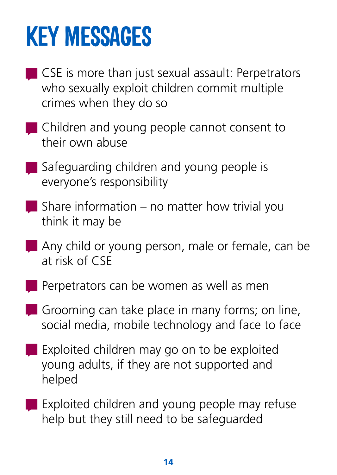## **KEY MESSAGES**

- CSE is more than just sexual assault: Perpetrators who sexually exploit children commit multiple crimes when they do so
- Children and young people cannot consent to their own abuse
- Safeguarding children and young people is everyone's responsibility
- $\blacksquare$  Share information no matter how trivial you think it may be
- Any child or young person, male or female, can be at risk of CSE
- **Perpetrators can be women as well as men**
- Grooming can take place in many forms; on line, social media, mobile technology and face to face
- **Exploited children may go on to be exploited** young adults, if they are not supported and helped
- **Exploited children and young people may refuse** help but they still need to be safeguarded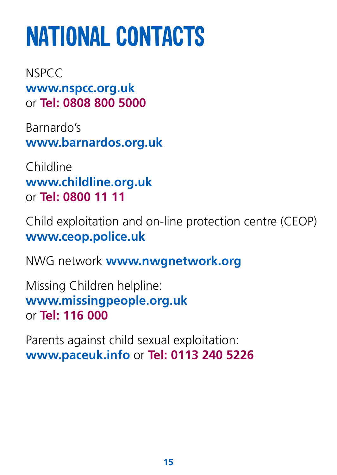# **NATIONAL CONTACTS**

**NSPCC www.nspcc.org.uk** or **Tel: 0808 800 5000**

Barnardo's **www.barnardos.org.uk**

Childline **www.childline.org.uk** or **Tel: 0800 11 11**

Child exploitation and on-line protection centre (CEOP) **www.ceop.police.uk**

NWG network **www.nwgnetwork.org**

Missing Children helpline: **www.missingpeople.org.uk** or **Tel: 116 000**

Parents against child sexual exploitation: **www.paceuk.info** or **Tel: 0113 240 5226**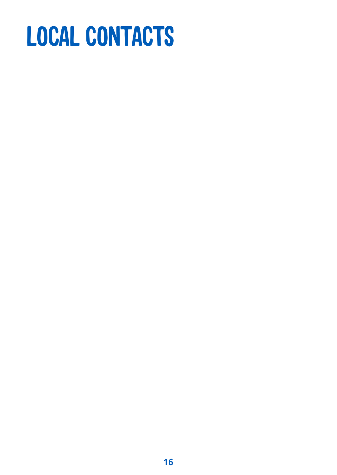# **LOCAL CONTACTS**